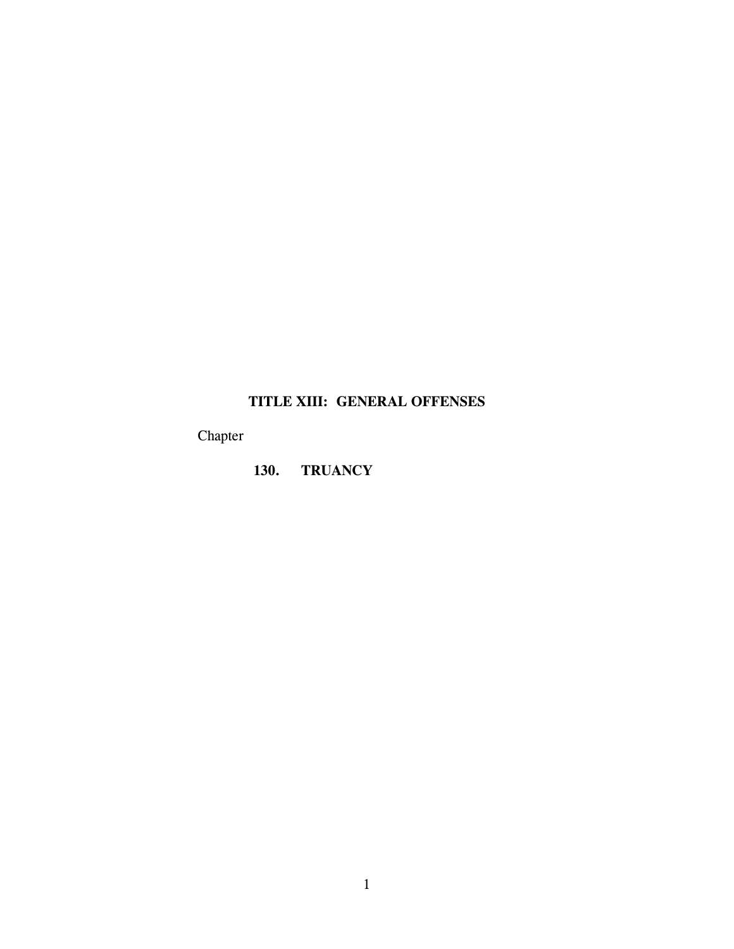# **TITLE XIII: GENERAL OFFENSES**

Chapter

**130. TRUANCY**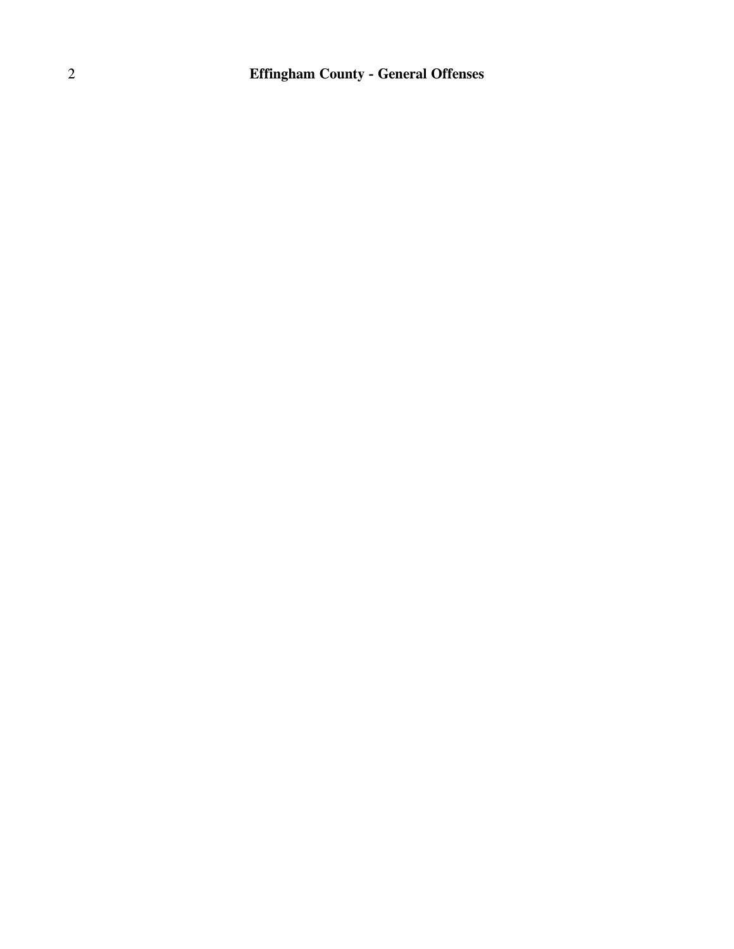**Effingham County - General Offenses**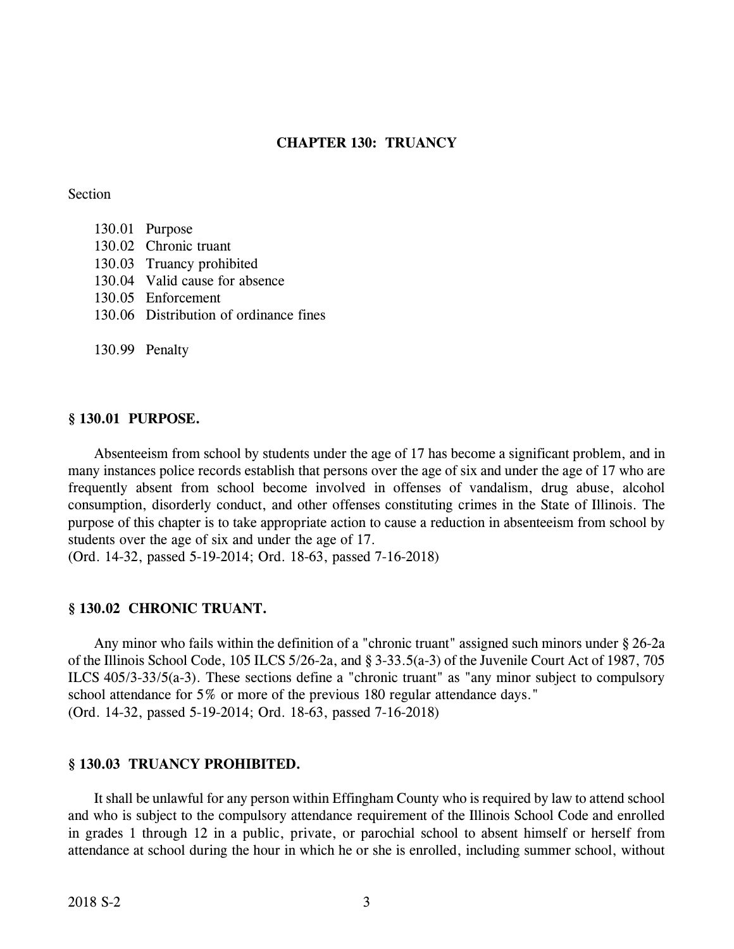# **CHAPTER 130: TRUANCY**

#### Section

| 130.01 Purpose                         |
|----------------------------------------|
| 130.02 Chronic truant                  |
| 130.03 Truancy prohibited              |
| 130.04 Valid cause for absence         |
| 130.05 Enforcement                     |
| 130.06 Distribution of ordinance fines |
|                                        |

130.99 Penalty

#### **§ 130.01 PURPOSE.**

Absenteeism from school by students under the age of 17 has become a significant problem, and in many instances police records establish that persons over the age of six and under the age of 17 who are frequently absent from school become involved in offenses of vandalism, drug abuse, alcohol consumption, disorderly conduct, and other offenses constituting crimes in the State of Illinois. The purpose of this chapter is to take appropriate action to cause a reduction in absenteeism from school by students over the age of six and under the age of 17.

(Ord. 14-32, passed 5-19-2014; Ord. 18-63, passed 7-16-2018)

# **§ 130.02 CHRONIC TRUANT.**

Any minor who fails within the definition of a "chronic truant" assigned such minors under § 26-2a of the Illinois School Code, 105 ILCS 5/26-2a, and § 3-33.5(a-3) of the Juvenile Court Act of 1987, 705 ILCS 405/3-33/5(a-3). These sections define a "chronic truant" as "any minor subject to compulsory school attendance for 5% or more of the previous 180 regular attendance days." (Ord. 14-32, passed 5-19-2014; Ord. 18-63, passed 7-16-2018)

### **§ 130.03 TRUANCY PROHIBITED.**

It shall be unlawful for any person within Effingham County who is required by law to attend school and who is subject to the compulsory attendance requirement of the Illinois School Code and enrolled in grades 1 through 12 in a public, private, or parochial school to absent himself or herself from attendance at school during the hour in which he or she is enrolled, including summer school, without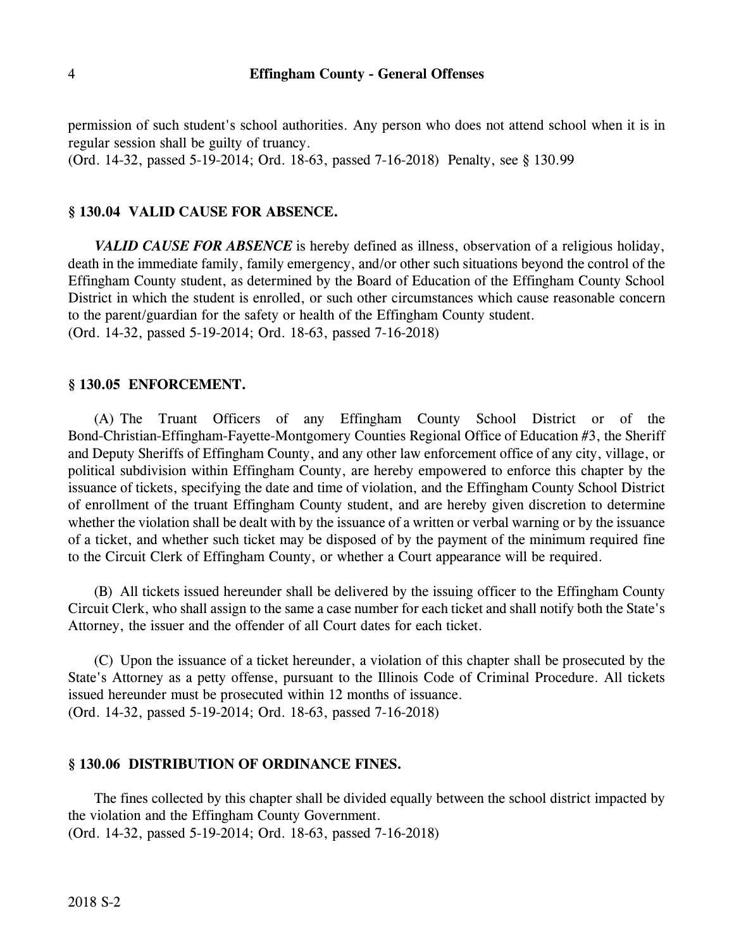permission of such student's school authorities. Any person who does not attend school when it is in regular session shall be guilty of truancy.

(Ord. 14-32, passed 5-19-2014; Ord. 18-63, passed 7-16-2018) Penalty, see § 130.99

# **§ 130.04 VALID CAUSE FOR ABSENCE.**

*VALID CAUSE FOR ABSENCE* is hereby defined as illness, observation of a religious holiday, death in the immediate family, family emergency, and/or other such situations beyond the control of the Effingham County student, as determined by the Board of Education of the Effingham County School District in which the student is enrolled, or such other circumstances which cause reasonable concern to the parent/guardian for the safety or health of the Effingham County student. (Ord. 14-32, passed 5-19-2014; Ord. 18-63, passed 7-16-2018)

### **§ 130.05 ENFORCEMENT.**

(A) The Truant Officers of any Effingham County School District or of the Bond-Christian-Effingham-Fayette-Montgomery Counties Regional Office of Education #3, the Sheriff and Deputy Sheriffs of Effingham County, and any other law enforcement office of any city, village, or political subdivision within Effingham County, are hereby empowered to enforce this chapter by the issuance of tickets, specifying the date and time of violation, and the Effingham County School District of enrollment of the truant Effingham County student, and are hereby given discretion to determine whether the violation shall be dealt with by the issuance of a written or verbal warning or by the issuance of a ticket, and whether such ticket may be disposed of by the payment of the minimum required fine to the Circuit Clerk of Effingham County, or whether a Court appearance will be required.

(B) All tickets issued hereunder shall be delivered by the issuing officer to the Effingham County Circuit Clerk, who shall assign to the same a case number for each ticket and shall notify both the State's Attorney, the issuer and the offender of all Court dates for each ticket.

(C) Upon the issuance of a ticket hereunder, a violation of this chapter shall be prosecuted by the State's Attorney as a petty offense, pursuant to the Illinois Code of Criminal Procedure. All tickets issued hereunder must be prosecuted within 12 months of issuance. (Ord. 14-32, passed 5-19-2014; Ord. 18-63, passed 7-16-2018)

### **§ 130.06 DISTRIBUTION OF ORDINANCE FINES.**

The fines collected by this chapter shall be divided equally between the school district impacted by the violation and the Effingham County Government. (Ord. 14-32, passed 5-19-2014; Ord. 18-63, passed 7-16-2018)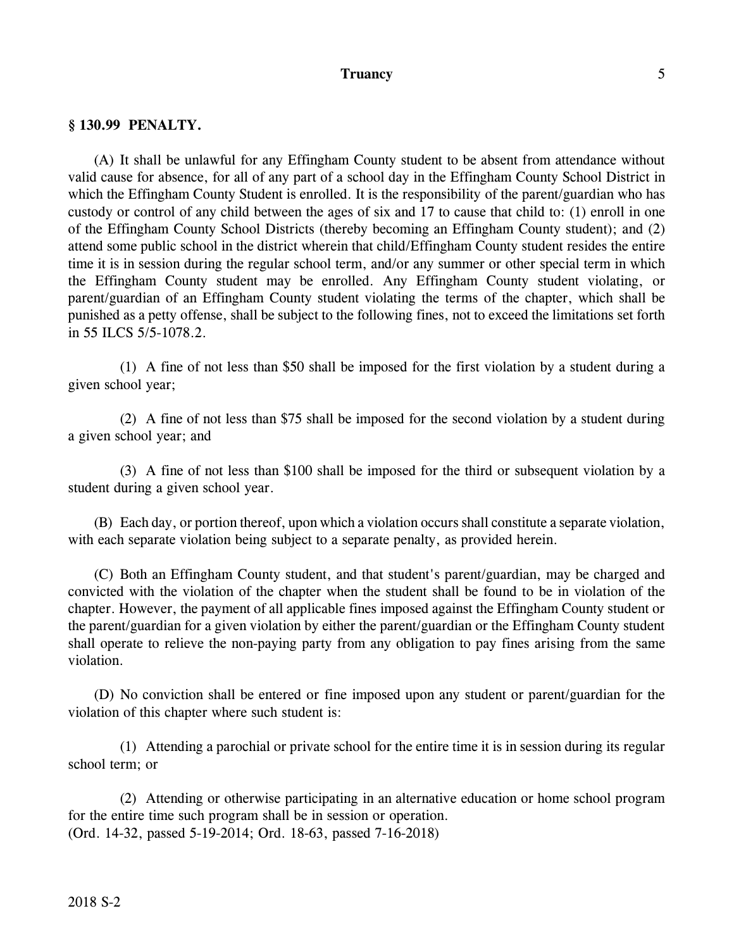# **Truancy** 5

# **§ 130.99 PENALTY.**

(A) It shall be unlawful for any Effingham County student to be absent from attendance without valid cause for absence, for all of any part of a school day in the Effingham County School District in which the Effingham County Student is enrolled. It is the responsibility of the parent/guardian who has custody or control of any child between the ages of six and 17 to cause that child to: (1) enroll in one of the Effingham County School Districts (thereby becoming an Effingham County student); and (2) attend some public school in the district wherein that child/Effingham County student resides the entire time it is in session during the regular school term, and/or any summer or other special term in which the Effingham County student may be enrolled. Any Effingham County student violating, or parent/guardian of an Effingham County student violating the terms of the chapter, which shall be punished as a petty offense, shall be subject to the following fines, not to exceed the limitations set forth in 55 ILCS 5/5-1078.2.

(1) A fine of not less than \$50 shall be imposed for the first violation by a student during a given school year;

(2) A fine of not less than \$75 shall be imposed for the second violation by a student during a given school year; and

(3) A fine of not less than \$100 shall be imposed for the third or subsequent violation by a student during a given school year.

(B) Each day, or portion thereof, upon which a violation occurs shall constitute a separate violation, with each separate violation being subject to a separate penalty, as provided herein.

(C) Both an Effingham County student, and that student's parent/guardian, may be charged and convicted with the violation of the chapter when the student shall be found to be in violation of the chapter. However, the payment of all applicable fines imposed against the Effingham County student or the parent/guardian for a given violation by either the parent/guardian or the Effingham County student shall operate to relieve the non-paying party from any obligation to pay fines arising from the same violation.

(D) No conviction shall be entered or fine imposed upon any student or parent/guardian for the violation of this chapter where such student is:

(1) Attending a parochial or private school for the entire time it is in session during its regular school term; or

(2) Attending or otherwise participating in an alternative education or home school program for the entire time such program shall be in session or operation. (Ord. 14-32, passed 5-19-2014; Ord. 18-63, passed 7-16-2018)